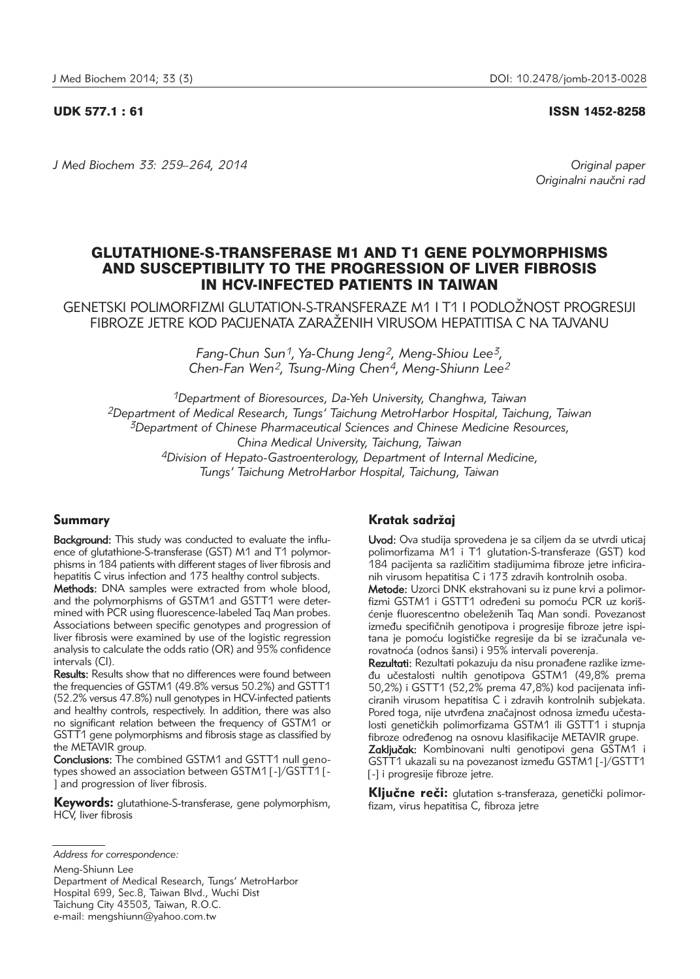#### UDK 577.1 : 61 ISSN 1452-8258

*J Med Biochem 33: 259–264, 2014 Original paper*

Originalni naučni rad

# GLUTATHIONE-S-TRANSFERASE M1 AND T1 GENE POLYMORPHISMS AND SUSCEPTIBILITY TO THE PROGRESSION OF LIVER FIBROSIS IN HCV-INFECTED PATIENTS IN TAIWAN

GENETSKI POLIMORFIZMI GLUTATION-S-TRANSFERAZE M1 I T1 I PODLO@NOST PROGRESIJI FIBROZE JETRE KOD PACIJENATA ZARAŽENIH VIRUSOM HEPATITISA C NA TAJVANU.

> *Fang-Chun Sun1, Ya-Chung Jeng2, Meng-Shiou Lee3, Chen-Fan Wen2, Tsung-Ming Chen4, Meng-Shiunn Lee2*

*1Department of Bioresources, Da-Yeh University, Changhwa, Taiwan 2Department of Medical Research, Tungs' Taichung MetroHarbor Hospital, Taichung, Taiwan 3Department of Chinese Pharmaceutical Sciences and Chinese Medicine Resources, China Medical University, Taichung, Taiwan 4Division of Hepato-Gastroenterology, Department of Internal Medicine, Tungs' Taichung MetroHarbor Hospital, Taichung, Taiwan*

## Summary

Background: This study was conducted to evaluate the influence of glutathione-S-transferase (GST) M1 and T1 polymorphisms in 184 patients with different stages of liver fibrosis and hepatitis C virus infection and 173 healthy control subjects.

Methods: DNA samples were extracted from whole blood, and the polymorphisms of GSTM1 and GSTT1 were determined with PCR using fluorescence-labeled Taq Man probes. Associations between specific genotypes and progression of liver fibrosis were examined by use of the logistic regression analysis to calculate the odds ratio (OR) and 95% confidence intervals (CI).

Results: Results show that no differences were found between the frequencies of GSTM1 (49.8% versus 50.2%) and GSTT1 (52.2% versus 47.8%) null genotypes in HCV-infected patients and healthy controls, respectively. In addition, there was also no significant relation between the frequency of GSTM1 or GSTT1 gene polymorphisms and fibrosis stage as classified by the METAVIR group.

Conclusions: The combined GSTM1 and GSTT1 null genotypes showed an association between GSTM1 [-]/GSTT1 [- ] and progression of liver fibrosis.

Keywords: glutathione-S-transferase, gene polymorphism, HCV, liver fibrosis

Meng-Shiunn Lee

Department of Medical Research, Tungs' MetroHarbor Hospital 699, Sec.8, Taiwan Blvd., Wuchi Dist Taichung City 43503, Taiwan, R.O.C. e-mail: mengshiunn@yahoo.com.tw

# Kratak sadržaj

Uvod: Ova studija sprovedena je sa ciljem da se utvrdi uticaj polimorfizama M1 i T1 glutation-S-transferaze (GST) kod 184 pacijenta sa različitim stadijumima fibroze jetre inficiranih virusom hepatitisa C i 173 zdravih kontrolnih osoba. Metode: Uzorci DNK ekstrahovani su iz pune krvi a polimorfizmi GSTM1 i GSTT1 određeni su pomoću PCR uz korišćenje fluorescentno obeleženih Tag Man sondi. Povezanost između specifičnih genotipova i progresije fibroze jetre ispitana je pomoću logističke regresije da bi se izračunala verovatnoća (odnos šansi) i 95% intervali poverenja.

Rezultati: Rezultati pokazuju da nisu pronađene razlike između učestalosti nultih genotipova GSTM1 (49,8% prema 50,2%) i GSTT1 (52,2% prema 47,8%) kod pacijenata inficiranih virusom hepatitisa C i zdravih kontrolnih subjekata. Pored toga, nije utvrđena značajnost odnosa između učestalosti genetičkih polimorfizama GSTM1 ili GSTT1 i stupnja fibroze određenog na osnovu klasifikacije METAVIR grupe.

Zaključak: Kombinovani nulti genotipovi gena GSTM1 i GSTT1 ukazali su na povezanost između GSTM1 [-]/GSTT1 [-] i progresije fibroze jetre.

Kliučne reči: glutation s-transferaza, genetički polimorfizam, virus hepatitisa C, fibroza jetre

*Address for correspondence:*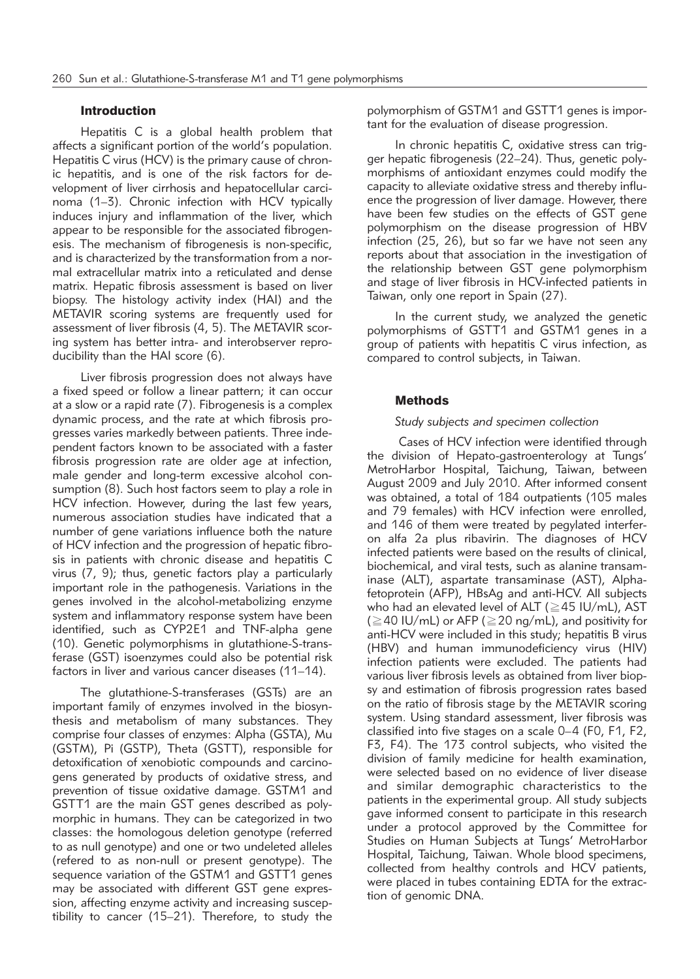#### Introduction

Hepatitis C is a global health problem that affects a significant portion of the world's population. Hepatitis C virus (HCV) is the primary cause of chronic hepatitis, and is one of the risk factors for development of liver cirrhosis and hepatocellular carcinoma (1–3). Chronic infection with HCV typically induces injury and inflammation of the liver, which appear to be responsible for the associated fibrogenesis. The mechanism of fibrogenesis is non-specific, and is characterized by the transformation from a normal extracellular matrix into a reticulated and dense matrix. Hepatic fibrosis assessment is based on liver biopsy. The histology activity index (HAI) and the METAVIR scoring systems are frequently used for assessment of liver fibrosis (4, 5). The METAVIR scoring system has better intra- and interobserver reproducibility than the HAI score (6).

Liver fibrosis progression does not always have a fixed speed or follow a linear pattern; it can occur at a slow or a rapid rate (7). Fibrogenesis is a complex dynamic process, and the rate at which fibrosis progresses varies markedly between patients. Three independent factors known to be associated with a faster fibrosis progression rate are older age at infection, male gender and long-term excessive alcohol consumption (8). Such host factors seem to play a role in HCV infection. However, during the last few years, numerous association studies have indicated that a number of gene variations influence both the nature of HCV infection and the progression of hepatic fibrosis in patients with chronic disease and hepatitis C virus (7, 9); thus, genetic factors play a particularly important role in the pathogenesis. Variations in the genes involved in the alcohol-metabolizing enzyme system and inflammatory response system have been identified, such as CYP2E1 and TNF-alpha gene (10). Genetic polymorphisms in glutathione-S-transferase (GST) isoenzymes could also be potential risk factors in liver and various cancer diseases (11–14).

The glutathione-S-transferases (GSTs) are an important family of enzymes involved in the biosynthesis and metabolism of many substances. They comprise four classes of enzymes: Alpha (GSTA), Mu (GSTM), Pi (GSTP), Theta (GSTT), responsible for detoxification of xenobiotic compounds and carcinogens generated by products of oxidative stress, and prevention of tissue oxidative damage. GSTM1 and GSTT1 are the main GST genes described as polymorphic in humans. They can be categorized in two classes: the homologous deletion genotype (referred to as null genotype) and one or two undeleted alleles (refered to as non-null or present genotype). The sequence variation of the GSTM1 and GSTT1 genes may be associated with different GST gene expression, affecting enzyme activity and increasing susceptibility to cancer (15–21). Therefore, to study the polymorphism of GSTM1 and GSTT1 genes is important for the evaluation of disease progression.

In chronic hepatitis C, oxidative stress can trigger hepatic fibrogenesis (22–24). Thus, genetic polymorphisms of antioxidant enzymes could modify the capacity to alleviate oxidative stress and thereby influence the progression of liver damage. However, there have been few studies on the effects of GST gene polymorphism on the disease progression of HBV infection (25, 26), but so far we have not seen any reports about that association in the investigation of the relationship between GST gene polymorphism and stage of liver fibrosis in HCV-infected patients in Taiwan, only one report in Spain (27).

In the current study, we analyzed the genetic polymorphisms of GSTT1 and GSTM1 genes in a group of patients with hepatitis C virus infection, as compared to control subjects, in Taiwan.

#### Methods

#### *Study subjects and specimen collection*

Cases of HCV infection were identified through the division of Hepato-gastroenterology at Tungs' MetroHarbor Hospital, Taichung, Taiwan, between August 2009 and July 2010. After informed consent was obtained, a total of 184 outpatients (105 males and 79 females) with HCV infection were enrolled, and 146 of them were treated by pegylated interferon alfa 2a plus ribavirin. The diagnoses of HCV infected patients were based on the results of clinical, biochemical, and viral tests, such as alanine transaminase (ALT), aspartate transaminase (AST), Alphafetoprotein (AFP), HBsAg and anti-HCV. All subjects who had an elevated level of ALT ( $\geq$ 45 IU/mL), AST ( $\geq$ 40 IU/mL) or AFP ( $\geq$ 20 ng/mL), and positivity for anti-HCV were included in this study; hepatitis B virus (HBV) and human immunodeficiency virus (HIV) infection patients were excluded. The patients had various liver fibrosis levels as obtained from liver biopsy and estimation of fibrosis progression rates based on the ratio of fibrosis stage by the METAVIR scoring system. Using standard assessment, liver fibrosis was classified into five stages on a scale 0–4 (F0, F1, F2, F3, F4). The 173 control subjects, who visited the division of family medicine for health examination, were selected based on no evidence of liver disease and similar demographic characteristics to the patients in the experimental group. All study subjects gave informed consent to participate in this research under a protocol approved by the Committee for Studies on Human Subjects at Tungs' MetroHarbor Hospital, Taichung, Taiwan. Whole blood specimens, collected from healthy controls and HCV patients, were placed in tubes containing EDTA for the extraction of genomic DNA.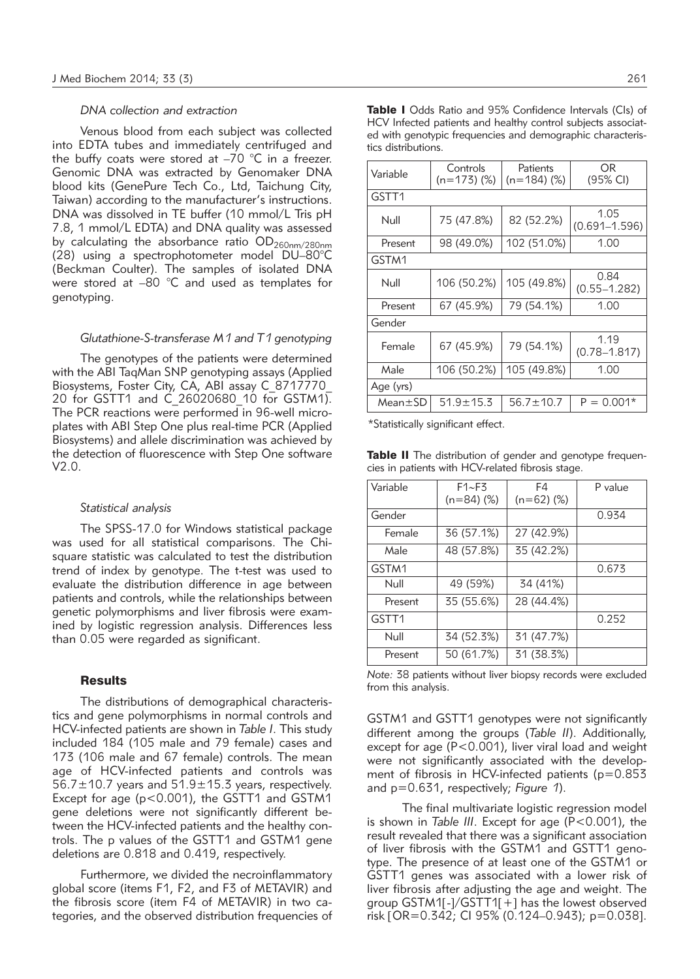#### *DNA collection and extraction*

Venous blood from each subject was collected into EDTA tubes and immediately centrifuged and the buffy coats were stored at  $-70$  °C in a freezer. Genomic DNA was extracted by Genomaker DNA blood kits (GenePure Tech Co., Ltd, Taichung City, Taiwan) according to the manufacturer's instructions. DNA was dissolved in TE buffer (10 mmol/L Tris pH 7.8, 1 mmol/L EDTA) and DNA quality was assessed by calculating the absorbance ratio  $OD_{260nm/280nm}$ (28) using a spectrophotometer model DU-80°C (Beckman Coulter). The samples of isolated DNA were stored at –80 °C and used as templates for genotyping.

#### *Glutathione-S-transferase M1 and T1 genotyping*

The genotypes of the patients were determined with the ABI TaqMan SNP genotyping assays (Applied Biosystems, Foster City, CĂ, ABI assay C\_8717770\_ 20 for GSTT1 and C\_26020680\_10 for GSTM1). The PCR reactions were performed in 96-well microplates with ABI Step One plus real-time PCR (Applied Biosystems) and allele discrimination was achieved by the detection of fluorescence with Step One software V2.0.

#### *Statistical analysis*

The SPSS-17.0 for Windows statistical package was used for all statistical comparisons. The Chisquare statistic was calculated to test the distribution trend of index by genotype. The t-test was used to evaluate the distribution difference in age between patients and controls, while the relationships between genetic polymorphisms and liver fibrosis were examined by logistic regression analysis. Differences less than 0.05 were regarded as significant.

#### **Results**

The distributions of demographical characteristics and gene polymorphisms in normal controls and HCV-infected patients are shown in *Table I*. This study included 184 (105 male and 79 female) cases and 173 (106 male and 67 female) controls. The mean age of HCV-infected patients and controls was  $56.7 \pm 10.7$  years and  $51.9 \pm 15.3$  years, respectively. Except for age (p<0.001), the GSTT1 and GSTM1 gene deletions were not significantly different between the HCV-infected patients and the healthy controls. The p values of the GSTT1 and GSTM1 gene deletions are 0.818 and 0.419, respectively.

Furthermore, we divided the necroinflammatory global score (items F1, F2, and F3 of METAVIR) and the fibrosis score (item F4 of METAVIR) in two categories, and the observed distribution frequencies of

| Variable      | Controls        | Patients        | OR.                       |  |  |
|---------------|-----------------|-----------------|---------------------------|--|--|
|               | $(n=173)$ (%)   | (n=184) (%)     | (95% CI)                  |  |  |
| GSTT1         |                 |                 |                           |  |  |
| Null          | 75 (47.8%)      | 82 (52.2%)      | 1.05<br>$(0.691 - 1.596)$ |  |  |
|               |                 |                 |                           |  |  |
| Present       | 98 (49.0%)      | 102 (51.0%)     | 1.00                      |  |  |
| GSTM1         |                 |                 |                           |  |  |
| Null          | 106 (50.2%)     | 105 (49.8%)     | 0.84                      |  |  |
|               |                 |                 | $(0.55 - 1.282)$          |  |  |
| Present       | 67 (45.9%)      | 79 (54.1%)      | 1.00                      |  |  |
| Gender        |                 |                 |                           |  |  |
| Female        | 67 (45.9%)      | 79 (54.1%)      | 1.19                      |  |  |
|               |                 |                 | $(0.78 - 1.817)$          |  |  |
| Male          | 106 (50.2%)     | 105 (49.8%)     | 1.00                      |  |  |
| Age (yrs)     |                 |                 |                           |  |  |
| $Mean \pm SD$ | $51.9 \pm 15.3$ | $56.7 \pm 10.7$ | $P = 0.001*$              |  |  |

\*Statistically significant effect.

Table II The distribution of gender and genotype frequencies in patients with HCV-related fibrosis stage.

| Variable          | F1~F3        | F4           | P value |
|-------------------|--------------|--------------|---------|
|                   | $(n=84)$ (%) | $(n=62)$ (%) |         |
| Gender            |              |              | 0.934   |
| Female            | 36 (57.1%)   | 27 (42.9%)   |         |
| Male              | 48 (57.8%)   | 35 (42.2%)   |         |
| GSTM1             |              |              | 0.673   |
| Null              | 49 (59%)     | 34 (41%)     |         |
| Present           | 35 (55.6%)   | 28 (44.4%)   |         |
| GSTT <sub>1</sub> |              |              | 0.252   |
| Null              | 34 (52.3%)   | 31 (47.7%)   |         |
| Present           | 50 (61.7%)   | 31 (38.3%)   |         |

*Note:* 38 patients without liver biopsy records were excluded from this analysis.

GSTM1 and GSTT1 genotypes were not significantly different among the groups (*Table II*). Additionally, except for age (P<0.001), liver viral load and weight were not significantly associated with the development of fibrosis in HCV-infected patients ( $p=0.853$ and p=0.631, respectively; *Figure 1*).

The final multivariate logistic regression model is shown in *Table III*. Except for age (P<0.001), the result revealed that there was a significant association of liver fibrosis with the GSTM1 and GSTT1 genotype. The presence of at least one of the GSTM1 or GSTT1 genes was associated with a lower risk of liver fibrosis after adjusting the age and weight. The group GSTM1[-]/GSTT1[+] has the lowest observed risk [OR= 0.342; CI 95% (0.124–0.943); p=0.038].

Table I Odds Ratio and 95% Confidence Intervals (CIs) of HCV Infected patients and healthy control subjects associated with genotypic frequencies and demographic characteristics distributions.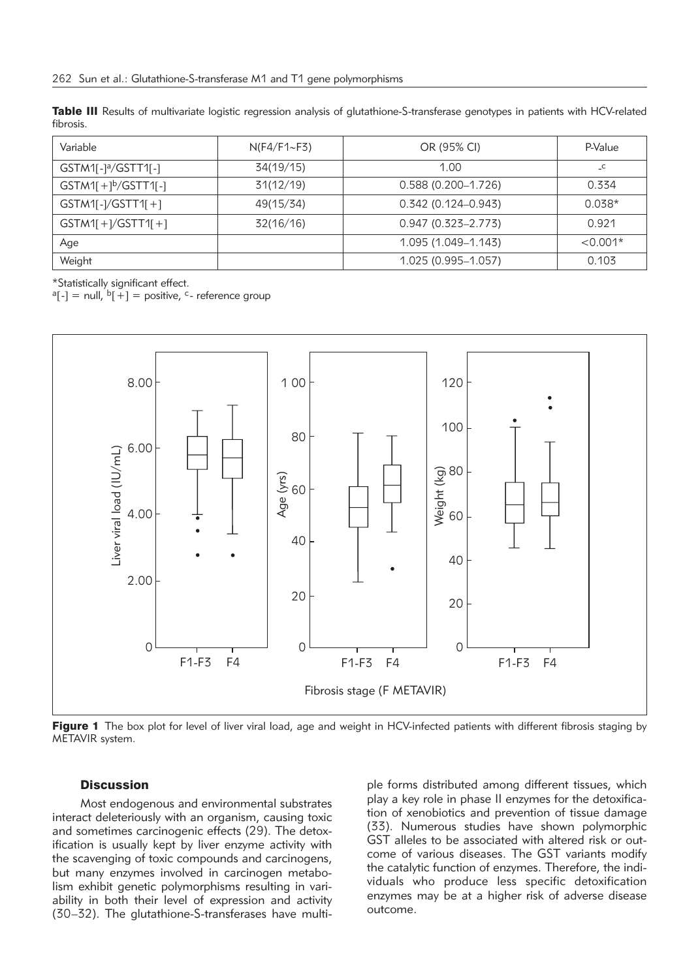Table III Results of multivariate logistic regression analysis of glutathione-S-transferase genotypes in patients with HCV-related fibrosis.

| Variable                        | $N(F4/F1 \sim F3)$ | OR (95% CI)            | P-Value    |
|---------------------------------|--------------------|------------------------|------------|
| GSTM1[-1 <sup>a</sup> /GSTT1[-1 | 34(19/15)          | 1.00                   |            |
| $GSTM1[+1b/GSTT1[-]$            | 31(12/19)          | $0.588(0.200 - 1.726)$ | 0.334      |
| $GSTM1[-1/GSTT1]+1$             | 49(15/34)          | $0.342(0.124 - 0.943)$ | $0.038*$   |
| $GSTM1[+]/GSTT1[+]$             | 32(16/16)          | $0.947(0.323 - 2.773)$ | 0.921      |
| Age                             |                    | 1.095 (1.049-1.143)    | $< 0.001*$ |
| Weight                          |                    | 1.025 (0.995-1.057)    | 0.103      |

\*Statistically significant effect.

 ${}^{\circ}$ [-] = null,  ${}^{\circ}$ [+] = positive, c- reference group



Figure 1 The box plot for level of liver viral load, age and weight in HCV-infected patients with different fibrosis staging by METAVIR system.

### **Discussion**

Most endogenous and environmental substrates interact deleteriously with an organism, causing toxic and sometimes carcinogenic effects (29). The detoxification is usually kept by liver enzyme activity with the scavenging of toxic compounds and carcinogens, but many enzymes involved in carcinogen metabolism exhibit genetic polymorphisms resulting in variability in both their level of expression and activity (30–32). The glutathione-S-transferases have multiple forms distributed among different tissues, which play a key role in phase II enzymes for the detoxification of xenobiotics and prevention of tissue damage (33). Numerous studies have shown polymorphic GST alleles to be associated with altered risk or outcome of various diseases. The GST variants modify the catalytic function of enzymes. Therefore, the individuals who produce less specific detoxification enzymes may be at a higher risk of adverse disease outcome.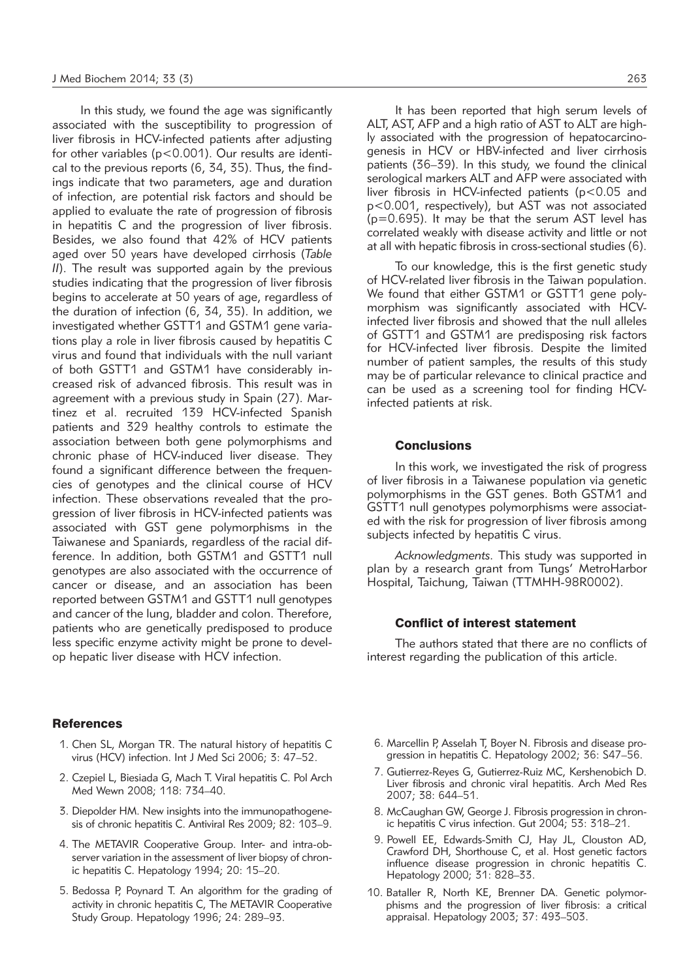In this study, we found the age was significantly associated with the susceptibility to progression of liver fibrosis in HCV-infected patients after adjusting for other variables (p<0.001). Our results are identical to the previous reports (6, 34, 35). Thus, the findings indicate that two parameters, age and duration of infection, are potential risk factors and should be applied to evaluate the rate of progression of fibrosis in hepatitis C and the progression of liver fibrosis. Besides, we also found that 42% of HCV patients aged over 50 years have developed cirrhosis (*Table II*). The result was supported again by the previous studies indicating that the progression of liver fibrosis begins to accelerate at 50 years of age, regardless of the duration of infection (6, 34, 35). In addition, we investigated whether GSTT1 and GSTM1 gene variations play a role in liver fibrosis caused by hepatitis C virus and found that individuals with the null variant of both GSTT1 and GSTM1 have considerably increased risk of advanced fibrosis. This result was in agreement with a previous study in Spain (27). Martinez et al. recruited 139 HCV-infected Spanish patients and 329 healthy controls to estimate the association between both gene polymorphisms and chronic phase of HCV-induced liver disease. They found a significant difference between the frequencies of genotypes and the clinical course of HCV infection. These observations revealed that the progression of liver fibrosis in HCV-infected patients was associated with GST gene polymorphisms in the Taiwanese and Spaniards, regardless of the racial difference. In addition, both GSTM1 and GSTT1 null genotypes are also associated with the occurrence of cancer or disease, and an association has been reported between GSTM1 and GSTT1 null genotypes and cancer of the lung, bladder and colon. Therefore, patients who are genetically predisposed to produce less specific enzyme activity might be prone to develop hepatic liver disease with HCV infection.

#### **References**

- 1. Chen SL, Morgan TR. The natural history of hepatitis C virus (HCV) infection. Int J Med Sci 2006; 3: 47–52.
- 2. Czepiel L, Biesiada G, Mach T. Viral hepatitis C. Pol Arch Med Wewn 2008; 118: 734–40.
- 3. Diepolder HM. New insights into the immunopathogenesis of chronic hepatitis C. Antiviral Res 2009; 82: 103–9.
- 4. The METAVIR Cooperative Group. Inter- and intra-observer variation in the assessment of liver biopsy of chronic hepatitis C. Hepatology 1994; 20: 15–20.
- 5. Bedossa P, Poynard T. An algorithm for the grading of activity in chronic hepatitis C, The METAVIR Cooperative Study Group. Hepatology 1996; 24: 289–93.

It has been reported that high serum levels of ALT, AST, AFP and a high ratio of AST to ALT are highly associated with the progression of hepatocarcinogenesis in HCV or HBV-infected and liver cirrhosis patients (36–39). In this study, we found the clinical serological markers ALT and AFP were associated with liver fibrosis in HCV-infected patients (p<0.05 and p<0.001, respectively), but AST was not associated (p=0.695). It may be that the serum AST level has correlated weakly with disease activity and little or not at all with hepatic fibrosis in cross-sectional studies (6).

To our knowledge, this is the first genetic study of HCV-related liver fibrosis in the Taiwan population. We found that either GSTM1 or GSTT1 gene polymorphism was significantly associated with HCVinfected liver fibrosis and showed that the null alleles of GSTT1 and GSTM1 are predisposing risk factors for HCV-infected liver fibrosis. Despite the limited number of patient samples, the results of this study may be of particular relevance to clinical practice and can be used as a screening tool for finding HCVinfected patients at risk.

#### **Conclusions**

In this work, we investigated the risk of progress of liver fibrosis in a Taiwanese population via genetic polymorphisms in the GST genes. Both GSTM1 and GSTT1 null genotypes polymorphisms were associated with the risk for progression of liver fibrosis among subjects infected by hepatitis C virus.

*Acknowledgments.* This study was supported in plan by a research grant from Tungs' MetroHarbor Hospital, Taichung, Taiwan (TTMHH-98R0002).

# Conflict of interest statement

The authors stated that there are no conflicts of interest regarding the publication of this article.

- 6. Marcellin P, Asselah T, Boyer N. Fibrosis and disease progression in hepatitis C. Hepatology 2002; 36: S47–56.
- 7. Gutierrez-Reyes G, Gutierrez-Ruiz MC, Kershenobich D. Liver fibrosis and chronic viral hepatitis. Arch Med Res 2007; 38: 644–51.
- 8. McCaughan GW, George J. Fibrosis progression in chronic hepatitis C virus infection. Gut 2004; 53: 318–21.
- 9. Powell EE, Edwards-Smith CJ, Hay JL, Clouston AD, Crawford DH, Shorthouse C, et al. Host genetic factors influence disease progression in chronic hepatitis C. Hepatology 2000; 31: 828–33.
- 10. Bataller R, North KE, Brenner DA. Genetic polymorphisms and the progression of liver fibrosis: a critical appraisal. Hepatology 2003; 37: 493–503.